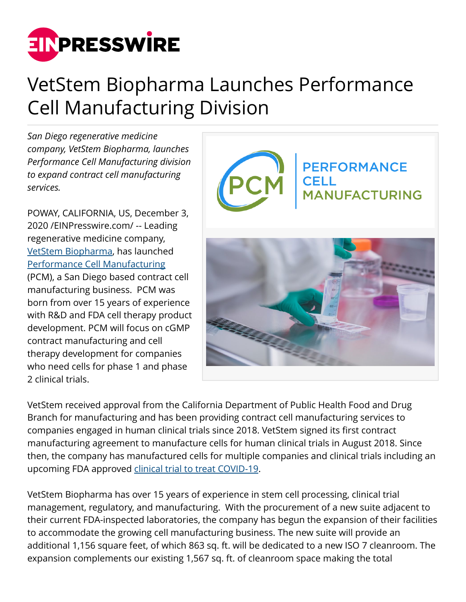

## VetStem Biopharma Launches Performance Cell Manufacturing Division

*San Diego regenerative medicine company, VetStem Biopharma, launches Performance Cell Manufacturing division to expand contract cell manufacturing services.*

POWAY, CALIFORNIA, US, December 3, 2020 /[EINPresswire.com](http://www.einpresswire.com)/ -- Leading regenerative medicine company, [VetStem Biopharma,](https://vetstem.com/) has launched [Performance Cell Manufacturing](https://performancecell.com/) (PCM), a San Diego based contract cell manufacturing business. PCM was born from over 15 years of experience with R&D and FDA cell therapy product development. PCM will focus on cGMP contract manufacturing and cell therapy development for companies who need cells for phase 1 and phase 2 clinical trials.



VetStem received approval from the California Department of Public Health Food and Drug Branch for manufacturing and has been providing contract cell manufacturing services to companies engaged in human clinical trials since 2018. VetStem signed its first contract manufacturing agreement to manufacture cells for human clinical trials in August 2018. Since then, the company has manufactured cells for multiple companies and clinical trials including an upcoming FDA approved [clinical trial to treat COVID-19.](https://www.einpresswire.com/article/528277920/personalized-stem-cells-announces-licensing-agreement-for-its-allogeneic-stem-cell-program-including-covid-19-therapy)

VetStem Biopharma has over 15 years of experience in stem cell processing, clinical trial management, regulatory, and manufacturing. With the procurement of a new suite adjacent to their current FDA-inspected laboratories, the company has begun the expansion of their facilities to accommodate the growing cell manufacturing business. The new suite will provide an additional 1,156 square feet, of which 863 sq. ft. will be dedicated to a new ISO 7 cleanroom. The expansion complements our existing 1,567 sq. ft. of cleanroom space making the total